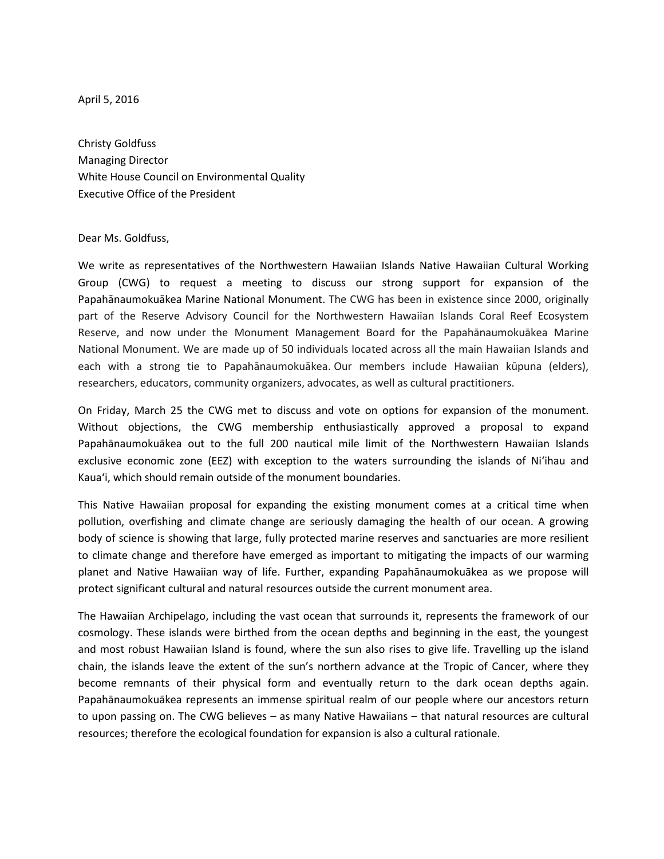April 5, 2016

Christy Goldfuss Managing Director White House Council on Environmental Quality Executive Office of the President

## Dear Ms. Goldfuss,

We write as representatives of the Northwestern Hawaiian Islands Native Hawaiian Cultural Working Group (CWG) to request a meeting to discuss our strong support for expansion of the Papahānaumokuākea Marine National Monument. The CWG has been in existence since 2000, originally part of the Reserve Advisory Council for the Northwestern Hawaiian Islands Coral Reef Ecosystem Reserve, and now under the Monument Management Board for the Papahānaumokuākea Marine National Monument. We are made up of 50 individuals located across all the main Hawaiian Islands and each with a strong tie to Papahānaumokuākea. Our members include Hawaiian kūpuna (elders), researchers, educators, community organizers, advocates, as well as cultural practitioners.

On Friday, March 25 the CWG met to discuss and vote on options for expansion of the monument. Without objections, the CWG membership enthusiastically approved a proposal to expand Papahānaumokuākea out to the full 200 nautical mile limit of the Northwestern Hawaiian Islands exclusive economic zone (EEZ) with exception to the waters surrounding the islands of Ni'ihau and Kaua'i, which should remain outside of the monument boundaries.

This Native Hawaiian proposal for expanding the existing monument comes at a critical time when pollution, overfishing and climate change are seriously damaging the health of our ocean. A growing body of science is showing that large, fully protected marine reserves and sanctuaries are more resilient to climate change and therefore have emerged as important to mitigating the impacts of our warming planet and Native Hawaiian way of life. Further, expanding Papahānaumokuākea as we propose will protect significant cultural and natural resources outside the current monument area.

The Hawaiian Archipelago, including the vast ocean that surrounds it, represents the framework of our cosmology. These islands were birthed from the ocean depths and beginning in the east, the youngest and most robust Hawaiian Island is found, where the sun also rises to give life. Travelling up the island chain, the islands leave the extent of the sun's northern advance at the Tropic of Cancer, where they become remnants of their physical form and eventually return to the dark ocean depths again. Papahānaumokuākea represents an immense spiritual realm of our people where our ancestors return to upon passing on. The CWG believes – as many Native Hawaiians – that natural resources are cultural resources; therefore the ecological foundation for expansion is also a cultural rationale.